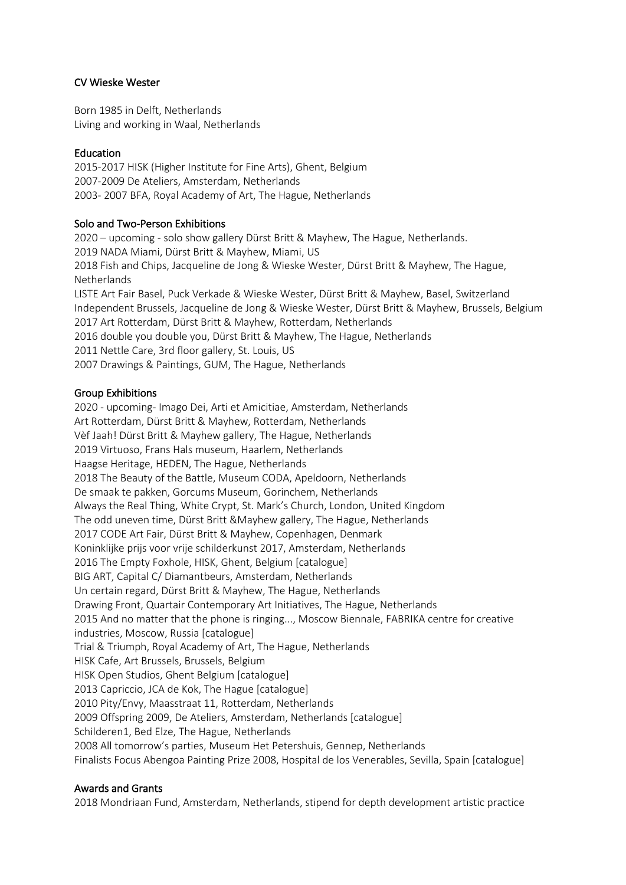# CV Wieske Wester

Born 1985 in Delft, Netherlands Living and working in Waal, Netherlands

# Education

2015-2017 HISK (Higher Institute for Fine Arts), Ghent, Belgium 2007-2009 De Ateliers, Amsterdam, Netherlands 2003- 2007 BFA, Royal Academy of Art, The Hague, Netherlands

## Solo and Two-Person Exhibitions

2020 – upcoming - solo show gallery Dürst Britt & Mayhew, The Hague, Netherlands. 2019 NADA Miami, Dürst Britt & Mayhew, Miami, US 2018 Fish and Chips, Jacqueline de Jong & Wieske Wester, Dürst Britt & Mayhew, The Hague, Netherlands LISTE Art Fair Basel, Puck Verkade & Wieske Wester, Dürst Britt & Mayhew, Basel, Switzerland Independent Brussels, Jacqueline de Jong & Wieske Wester, Dürst Britt & Mayhew, Brussels, Belgium 2017 Art Rotterdam, Dürst Britt & Mayhew, Rotterdam, Netherlands 2016 double you double you, Dürst Britt & Mayhew, The Hague, Netherlands 2011 Nettle Care, 3rd floor gallery, St. Louis, US 2007 Drawings & Paintings, GUM, The Hague, Netherlands

## Group Exhibitions

2020 - upcoming- Imago Dei, Arti et Amicitiae, Amsterdam, Netherlands Art Rotterdam, Dürst Britt & Mayhew, Rotterdam, Netherlands Vèf Jaah! Dürst Britt & Mayhew gallery, The Hague, Netherlands 2019 Virtuoso, Frans Hals museum, Haarlem, Netherlands Haagse Heritage, HEDEN, The Hague, Netherlands 2018 The Beauty of the Battle, Museum CODA, Apeldoorn, Netherlands De smaak te pakken, Gorcums Museum, Gorinchem, Netherlands Always the Real Thing, White Crypt, St. Mark's Church, London, United Kingdom The odd uneven time, Dürst Britt &Mayhew gallery, The Hague, Netherlands 2017 CODE Art Fair, Dürst Britt & Mayhew, Copenhagen, Denmark Koninklijke prijs voor vrije schilderkunst 2017, Amsterdam, Netherlands 2016 The Empty Foxhole, HISK, Ghent, Belgium [catalogue] BIG ART, Capital C/ Diamantbeurs, Amsterdam, Netherlands Un certain regard, Dürst Britt & Mayhew, The Hague, Netherlands Drawing Front, Quartair Contemporary Art Initiatives, The Hague, Netherlands 2015 And no matter that the phone is ringing..., Moscow Biennale, FABRIKA centre for creative industries, Moscow, Russia [catalogue] Trial & Triumph, Royal Academy of Art, The Hague, Netherlands HISK Cafe, Art Brussels, Brussels, Belgium HISK Open Studios, Ghent Belgium [catalogue] 2013 Capriccio, JCA de Kok, The Hague [catalogue] 2010 Pity/Envy, Maasstraat 11, Rotterdam, Netherlands 2009 Offspring 2009, De Ateliers, Amsterdam, Netherlands [catalogue] Schilderen1, Bed Elze, The Hague, Netherlands 2008 All tomorrow's parties, Museum Het Petershuis, Gennep, Netherlands Finalists Focus Abengoa Painting Prize 2008, Hospital de los Venerables, Sevilla, Spain [catalogue]

#### Awards and Grants

2018 Mondriaan Fund, Amsterdam, Netherlands, stipend for depth development artistic practice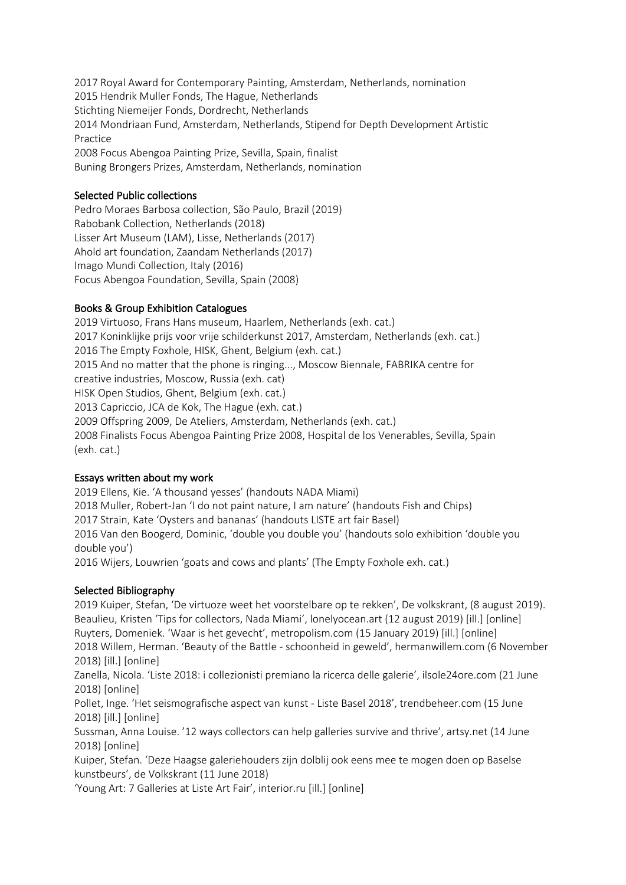2017 Royal Award for Contemporary Painting, Amsterdam, Netherlands, nomination 2015 Hendrik Muller Fonds, The Hague, Netherlands Stichting Niemeijer Fonds, Dordrecht, Netherlands 2014 Mondriaan Fund, Amsterdam, Netherlands, Stipend for Depth Development Artistic Practice 2008 Focus Abengoa Painting Prize, Sevilla, Spain, finalist Buning Brongers Prizes, Amsterdam, Netherlands, nomination

# Selected Public collections

Pedro Moraes Barbosa collection, São Paulo, Brazil (2019) Rabobank Collection, Netherlands (2018) Lisser Art Museum (LAM), Lisse, Netherlands (2017) Ahold art foundation, Zaandam Netherlands (2017) Imago Mundi Collection, Italy (2016) Focus Abengoa Foundation, Sevilla, Spain (2008)

## Books & Group Exhibition Catalogues

2019 Virtuoso, Frans Hans museum, Haarlem, Netherlands (exh. cat.) 2017 Koninklijke prijs voor vrije schilderkunst 2017, Amsterdam, Netherlands (exh. cat.) 2016 The Empty Foxhole, HISK, Ghent, Belgium (exh. cat.) 2015 And no matter that the phone is ringing..., Moscow Biennale, FABRIKA centre for creative industries, Moscow, Russia (exh. cat) HISK Open Studios, Ghent, Belgium (exh. cat.) 2013 Capriccio, JCA de Kok, The Hague (exh. cat.) 2009 Offspring 2009, De Ateliers, Amsterdam, Netherlands (exh. cat.) 2008 Finalists Focus Abengoa Painting Prize 2008, Hospital de los Venerables, Sevilla, Spain (exh. cat.)

#### Essays written about my work

2019 Ellens, Kie. 'A thousand yesses' (handouts NADA Miami) 2018 Muller, Robert-Jan 'I do not paint nature, I am nature' (handouts Fish and Chips) 2017 Strain, Kate 'Oysters and bananas' (handouts LISTE art fair Basel) 2016 Van den Boogerd, Dominic, 'double you double you' (handouts solo exhibition 'double you double you') 2016 Wijers, Louwrien 'goats and cows and plants' (The Empty Foxhole exh. cat.)

#### Selected Bibliography

2019 Kuiper, Stefan, 'De virtuoze weet het voorstelbare op te rekken', De volkskrant, (8 august 2019). Beaulieu, Kristen 'Tips for collectors, Nada Miami', lonelyocean.art (12 august 2019) [ill.] [online] Ruyters, Domeniek. 'Waar is het gevecht', metropolism.com (15 January 2019) [ill.] [online] 2018 Willem, Herman. 'Beauty of the Battle - schoonheid in geweld', hermanwillem.com (6 November 2018) [ill.] [online]

Zanella, Nicola. 'Liste 2018: i collezionisti premiano la ricerca delle galerie', ilsole24ore.com (21 June 2018) [online]

Pollet, Inge. 'Het seismografische aspect van kunst - Liste Basel 2018', trendbeheer.com (15 June 2018) [ill.] [online]

Sussman, Anna Louise. '12 ways collectors can help galleries survive and thrive', artsy.net (14 June 2018) [online]

Kuiper, Stefan. 'Deze Haagse galeriehouders zijn dolblij ook eens mee te mogen doen op Baselse kunstbeurs', de Volkskrant (11 June 2018)

'Young Art: 7 Galleries at Liste Art Fair', interior.ru [ill.] [online]